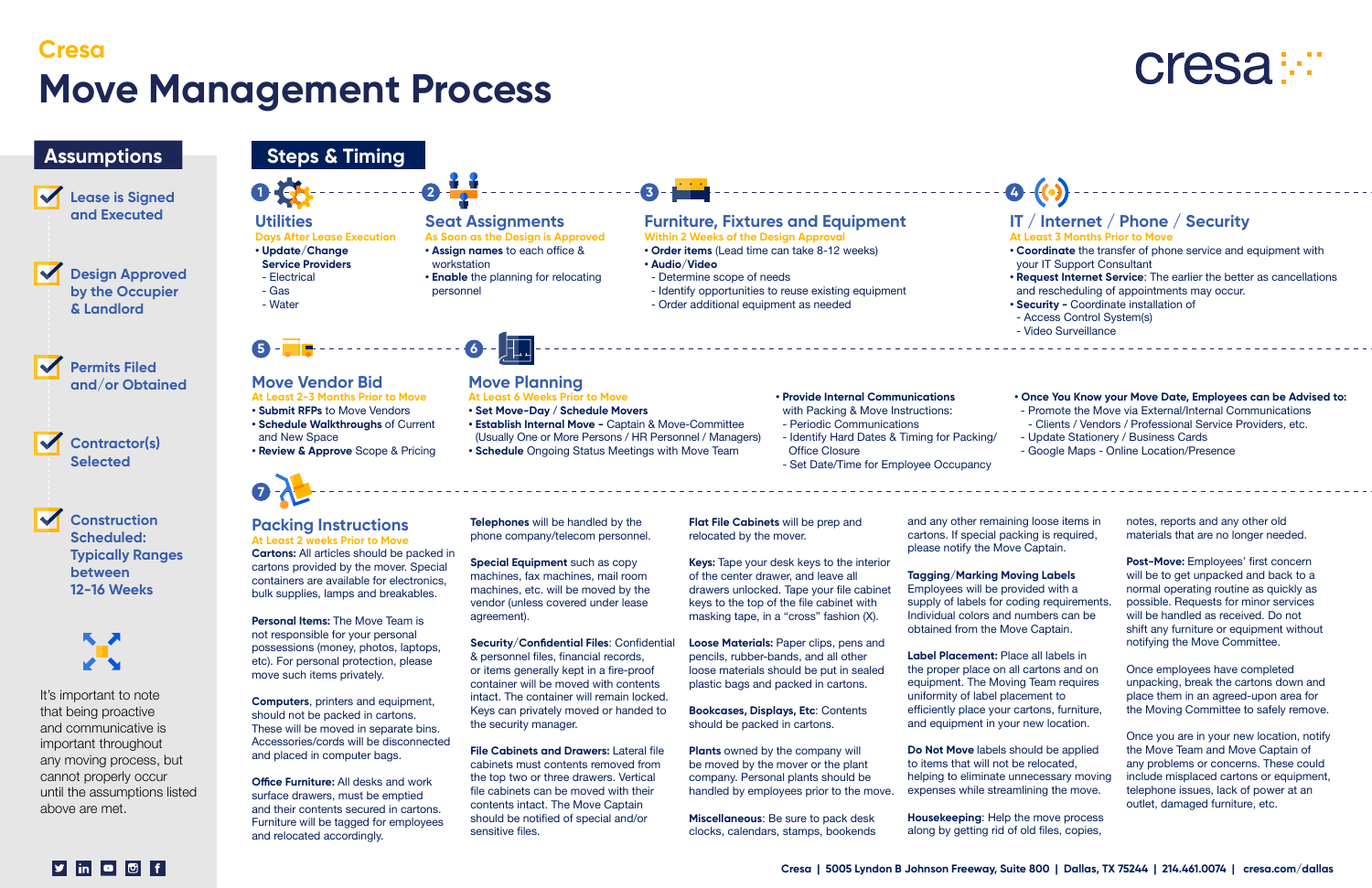### **Steps & Timing**

### **Utilities**

**Days After Lease Execution • Update/Change** 

- **Service Providers**
- Electrical
- Gas
- Water

#### **Packing Instructions At Least 2 weeks Prior to Move**

**Cartons:** All articles should be packed in cartons provided by the mover. Special containers are available for electronics, bulk supplies, lamps and breakables.

**Personal Items:** The Move Team is not responsible for your personal possessions (money, photos, laptops, etc). For personal protection, please move such items privately.

**Computers**, printers and equipment, should not be packed in cartons. These will be moved in separate bins. Accessories/cords will be disconnected and placed in computer bags.

**File Cabinets and Drawers: Lateral file** cabinets must contents removed from the top two or three drawers. Vertical file cabinets can be moved with their contents intact. The Move Captain should be notified of special and/or sensitive files.

**Office Furniture:** All desks and work surface drawers, must be emptied and their contents secured in cartons. Furniture will be tagged for employees and relocated accordingly.

**Telephones** will be handled by the phone company/telecom personnel.

> **Plants** owned by the company will be moved by the mover or the plant company. Personal plants should be handled by employees prior to the move.

**Special Equipment** such as copy machines, fax machines, mail room machines, etc. will be moved by the vendor (unless covered under lease agreement).

**Security/Confidential Files**: Confidential & personnel files, financial records, or items generally kept in a fire-proof container will be moved with contents intact. The container will remain locked. Keys can privately moved or handed to the security manager.

Post-Move: Employees' first concern will be to get unpacked and back to a normal operating routine as quickly as possible. Requests for minor services will be handled as received. Do not shift any furniture or equipment without notifying the Move Committee.

**Flat File Cabinets** will be prep and relocated by the mover.

**Keys:** Tape your desk keys to the interior of the center drawer, and leave all drawers unlocked. Tape your file cabinet keys to the top of the file cabinet with masking tape, in a "cross" fashion (X).

**Loose Materials:** Paper clips, pens and pencils, rubber-bands, and all other loose materials should be put in sealed plastic bags and packed in cartons.

**Bookcases, Displays, Etc**: Contents should be packed in cartons.

**Miscellaneous**: Be sure to pack desk clocks, calendars, stamps, bookends and any other remaining loose items in cartons. If special packing is required, please notify the Move Captain.



**Tagging/Marking Moving Labels** Employees will be provided with a supply of labels for coding requirements. Individual colors and numbers can be obtained from the Move Captain.

**Label Placement:** Place all labels in

the proper place on all cartons and on equipment. The Moving Team requires uniformity of label placement to efficiently place your cartons, furniture, and equipment in your new location.

**Do Not Move** labels should be applied to items that will not be relocated, helping to eliminate unnecessary moving expenses while streamlining the move.

**Housekeeping**: Help the move process along by getting rid of old files, copies,



notes, reports and any other old materials that are no longer needed.

Once employees have completed unpacking, break the cartons down and place them in an agreed-upon area for the Moving Committee to safely remove.

Once you are in your new location, notify the Move Team and Move Captain of any problems or concerns. These could include misplaced cartons or equipment, telephone issues, lack of power at an outlet, damaged furniture, etc.

# **Cresa Move Management Process**

### **Assumptions**

 **Lease is Signed and Executed**



 **Permits Filed** 

**and/or Obtained** 

 **Contractor(s) Selected** 

 **Construction Scheduled: Typically Ranges between 12-16 Weeks**



**Seat Assignments**

**As Soon as the Design is Approved • Assign names** to each office &

workstation

**• Enable** the planning for relocating

personnel



**Furniture, Fixtures and Equipment**

**Within 2 Weeks of the Design Approval • Order items** (Lead time can take 8-12 weeks)

**• Audio/Video**

- Determine scope of needs

- Identify opportunities to reuse existing equipment

- Order additional equipment as needed

## **1 2 3 4**

### **Move Vendor Bid**

- **At Least 2-3 Months Prior to Move • Submit RFPs** to Move Vendors **• Schedule Walkthroughs** of Current
- and New Space **• Review & Approve** Scope & Pricing
- 

**Move Planning**

#### **At Least 6 Weeks Prior to Move • Set Move-Day** / **Schedule Movers • Establish Internal Move -** Captain & Move-Committee

- (Usually One or More Persons / HR Personnel / Managers)
- **Schedule** Ongoing Status Meetings with Move Team

# **Cresa :::**

#### **• Provide Internal Communications**

- with Packing & Move Instructions:
	- Periodic Communications
- Identify Hard Dates & Timing for Packing/ Office Closure
- Set Date/Time for Employee Occupancy
- Promote the Move via External/Internal Communications - Clients / Vendors / Professional Service Providers, etc.
- Update Stationery / Business Cards
- Google Maps Online Location/Presence

# **5 6**

It's important to note that being proactive and communicative is important throughout any moving process, but cannot properly occur until the assumptions listed above are met.